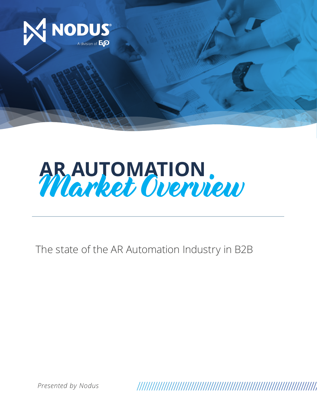



The state of the AR Automation Industry in B2B

*Presented by Nodus*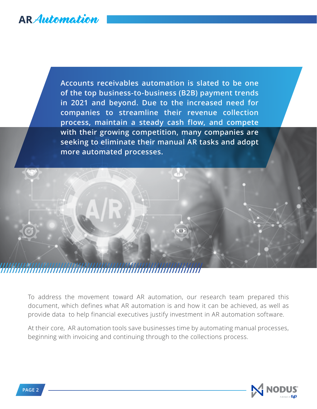**Accounts receivables automation is slated to be one of the top business-to-business (B2B) payment trends in 2021 and beyond. Due to the increased need for companies to streamline their revenue collection process, maintain a steady cash flow, and compete with their growing competition, many companies are seeking to eliminate their manual AR tasks and adopt more automated processes.**



To address the movement toward AR automation, our research team prepared this document, which defines what AR automation is and how it can be achieved, as well as provide data to help financial executives justify investment in AR automation software.

At their core, AR automation tools save businesses time by automating manual processes, beginning with invoicing and continuing through to the collections process.

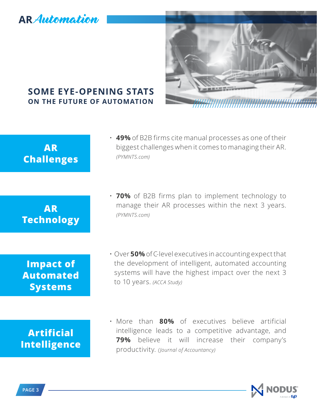

## **SOME EYE-OPENING STATS ON THE FUTURE OF AUTOMATION**

| <b>AR</b><br><b>Challenges</b>                         | $\cdot$ 49% of B2B firms cite manual processes as one of their<br>biggest challenges when it comes to managing their AR.<br>(PYMNTS.com)                                                                         |
|--------------------------------------------------------|------------------------------------------------------------------------------------------------------------------------------------------------------------------------------------------------------------------|
| <b>AR</b><br><b>Technology</b>                         | • 70% of B2B firms plan to implement technology to<br>manage their AR processes within the next 3 years.<br>(PYMNTS.com)                                                                                         |
| <b>Impact of</b><br><b>Automated</b><br><b>Systems</b> | $\cdot$ Over 50% of C-level executives in accounting expect that<br>the development of intelligent, automated accounting<br>systems will have the highest impact over the next 3<br>to 10 years. (ACCA Study)    |
| <b>Artificial</b><br><b>Intelligence</b>               | • More than 80% of executives believe artificial<br>intelligence leads to a competitive advantage, and<br>believe<br>79%<br>will increase<br>their<br>it.<br>company's<br>productivity. (Journal of Accountancy) |

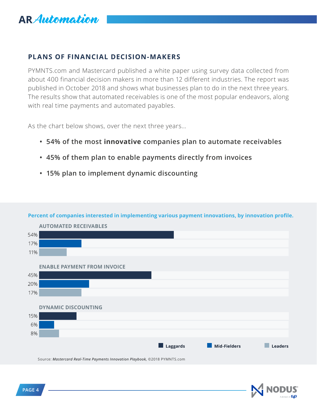

### **PLANS OF FINANCIAL DECISION-MAKERS**

PYMNTS.com and Mastercard published a white paper using survey data collected from about 400 financial decision makers in more than 12 different industries. The report was published in October 2018 and shows what businesses plan to do in the next three years. The results show that automated receivables is one of the most popular endeavors, along with real time payments and automated payables.

As the chart below shows, over the next three years...

- **54% of the most innovative companies plan to automate receivables**
- **45% of them plan to enable payments directly from invoices**
- **15% plan to implement dynamic discounting**

#### **Percent of companies interested in implementing various payment innovations, by innovation profile.**



Source: *[Mastercard Real-Time Payments Innovation Playbook](http://B2Binfo@EVOpayments.com),* ©2018 PYMNTS.com

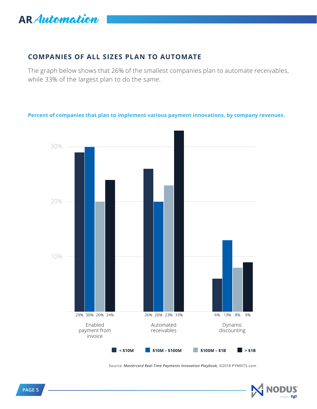

### **COMPANIES OF ALL SIZES PLAN TO AUTOMATE**

The graph below shows that 26% of the smallest companies plan to automate receivables, while 33% of the largest plan to do the same.

#### **Percent of companies that plan to implement various payment innovations, by company revenues.**



Source: *[Mastercard Real-Time Payments Innovation Playbook,](http://B2Binfo@EVOpayments.com)* ©2018 PYMNTS.com

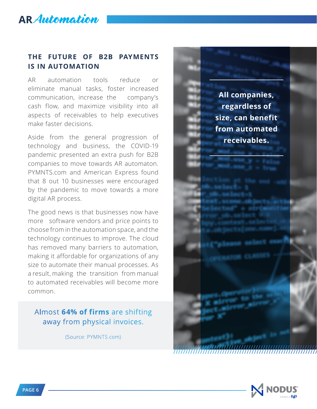### **THE FUTURE OF B2B PAYMENTS IS IN AUTOMATION**

AR automation tools reduce or eliminate manual tasks, foster increased communication, increase the company's cash flow, and maximize visibility into all aspects of receivables to help executives make faster decisions.

Aside from the general progression of technology and business, the COVID-19 pandemic presented an extra push for B2B companies to move towards AR automaton. PYMNTS.com and American Express found that 8 out 10 businesses were encouraged by the pandemic to move towards a more digital AR process.

The good news is that businesses now have more software vendors and price points to choose from in the automation space, and the technology continues to improve. The cloud has removed many barriers to automation, making it affordable for organizations of any size to automate their manual processes. As a result, making the transition from manual to automated receivables will become more common.

### Almost **64% of firms** are shifting away from physical invoices.

(Source: PYMNTS.com)

**All companies, regardless of size, can benefit from automated receivables.**

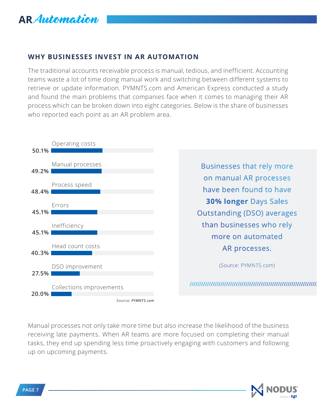

### **WHY BUSINESSES INVEST IN AR AUTOMATION**

The traditional accounts receivable process is manual, tedious, and inefficient. Accounting teams waste a lot of time doing manual work and switching between different systems to retrieve or update information. PYMNTS.com and American Express conducted a study and found the main problems that companies face when it comes to managing their AR process which can be broken down into eight categories. Below is the share of businesses who reported each point as an AR problem area.



Manual processes not only take more time but also increase the likelihood of the business receiving late payments. When AR teams are more focused on completing their manual tasks, they end up spending less time proactively engaging with customers and following up on upcoming payments.

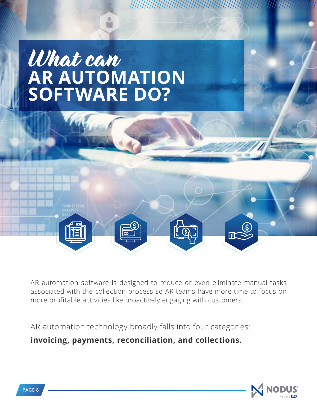# What can **AR AUTOMATION SOFTWARE DO?**



AR automation software is designed to reduce or even eliminate manual tasks associated with the collection process so AR teams have more time to focus on more profitable activities like proactively engaging with customers.

AR automation technology broadly falls into four categories:

**invoicing, payments, reconciliation, and collections.**



**TAN MANA**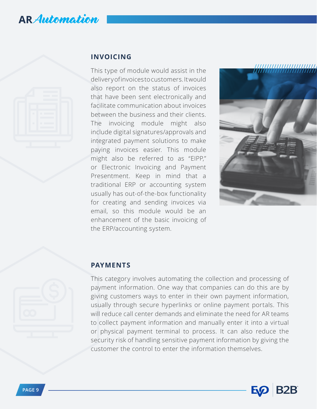

### **INVOICING**

This type of module would assist in the delivery of invoices to customers. It would also report on the status of invoices that have been sent electronically and facilitate communication about invoices between the business and their clients. The invoicing module might also include digital signatures/approvals and integrated payment solutions to make paying invoices easier. This module might also be referred to as "EIPP," or Electronic Invoicing and Payment Presentment. Keep in mind that a traditional ERP or accounting system usually has out-of-the-box functionality for creating and sending invoices via email, so this module would be an enhancement of the basic invoicing of the ERP/accounting system.



### **PAYMENTS**

This category involves automating the collection and processing of payment information. One way that companies can do this are by giving customers ways to enter in their own payment information, usually through secure hyperlinks or online payment portals. This will reduce call center demands and eliminate the need for AR teams to collect payment information and manually enter it into a virtual or physical payment terminal to process. It can also reduce the security risk of handling sensitive payment information by giving the customer the control to enter the information themselves.

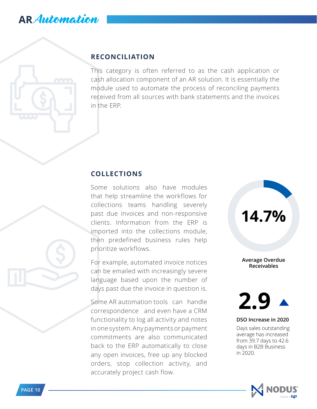### **RECONCILIATION**

This category is often referred to as the cash application or cash allocation component of an AR solution. It is essentially the module used to automate the process of reconciling payments received from all sources with bank statements and the invoices in the ERP.

### **COLLECTIONS**

Some solutions also have modules that help streamline the workflows for collections teams handling severely past due invoices and non-responsive clients. Information from the ERP is imported into the collections module, then predefined business rules help prioritize workflows.

For example, automated invoice notices can be emailed with increasingly severe language based upon the number of days past due the invoice in question is.

Some AR automation tools can handle correspondence and even have a CRM functionality to log all activity and notes in one system. Any payments or payment commitments are also communicated back to the ERP automatically to close any open invoices, free up any blocked orders, stop collection activity, and accurately project cash flow.

**Average Overdue Receivables**

**14.7%**



#### **DSO Increase in 2020**

Days sales outstanding average has increased from 39.7 days to 42.6 days in B2B Business in 2020.

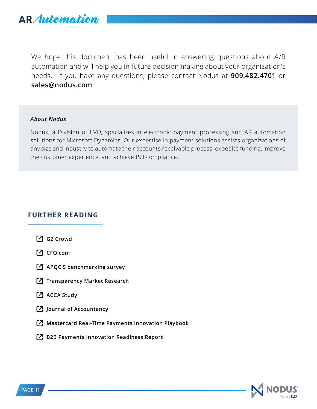

We hope this document has been useful in answering questions about A/R automation and will help you in future decision making about your organization's needs. If you have any questions, please contact Nodus at **909.482.4701** or **sales[@nodus.com](mailto:B2Binfo%40EVOpayments.com?subject=)**

#### *About Nodus*

Nodus, a Division of EVO, specializes in electronic payment processing and AR automation solutions for Microsoft Dynamics. Our expertise in payment solutions assists organizations of any size and industry to automate their accounts receivable process, expedite funding, improve the customer experience, and achieve PCI compliance.

### **FURTHER READING**

- **[G2 Crowd](https://learn.g2crowd.com/accounting-statistics)**
- **[CFO.com](http://www.cfo.com/hiring/2019/01/metric-of-the-month-finance-ftes-per-1b-in-revenue/)**
- **[APQC'S benchmarking survey](https://www.apqc.org/benchmarking-portal/osb/finance-organization)**
- **[Transparency Market Research](https://www.transparencymarketresearch.com/pressrelease/accounting-software-market.htm)**
- **[ACCA Study](https://www.accaglobal.com/content/dam/members-beta/images/campaigns/pa-tf/pi-professional-accountants-the-future.pdf)**
- **[Journal of Accountancy](https://www.journalofaccountancy.com/newsletters/2017/oct/artificial-intelligence-changing-accounting.html)**
- **[Mastercard Real-Time Payments Innovation Playbook](https://www.mastercard.us/content/dam/mccom/en-us/business-payments/documents/real-time-payments-innovation-playbook-october-2018.pdf)**
- **Z** [B2B Payments Innovation Readiness Report](https://www.pymnts.com/study/b2b-payments-innovation-readiness-report-american-express-september-2020/)